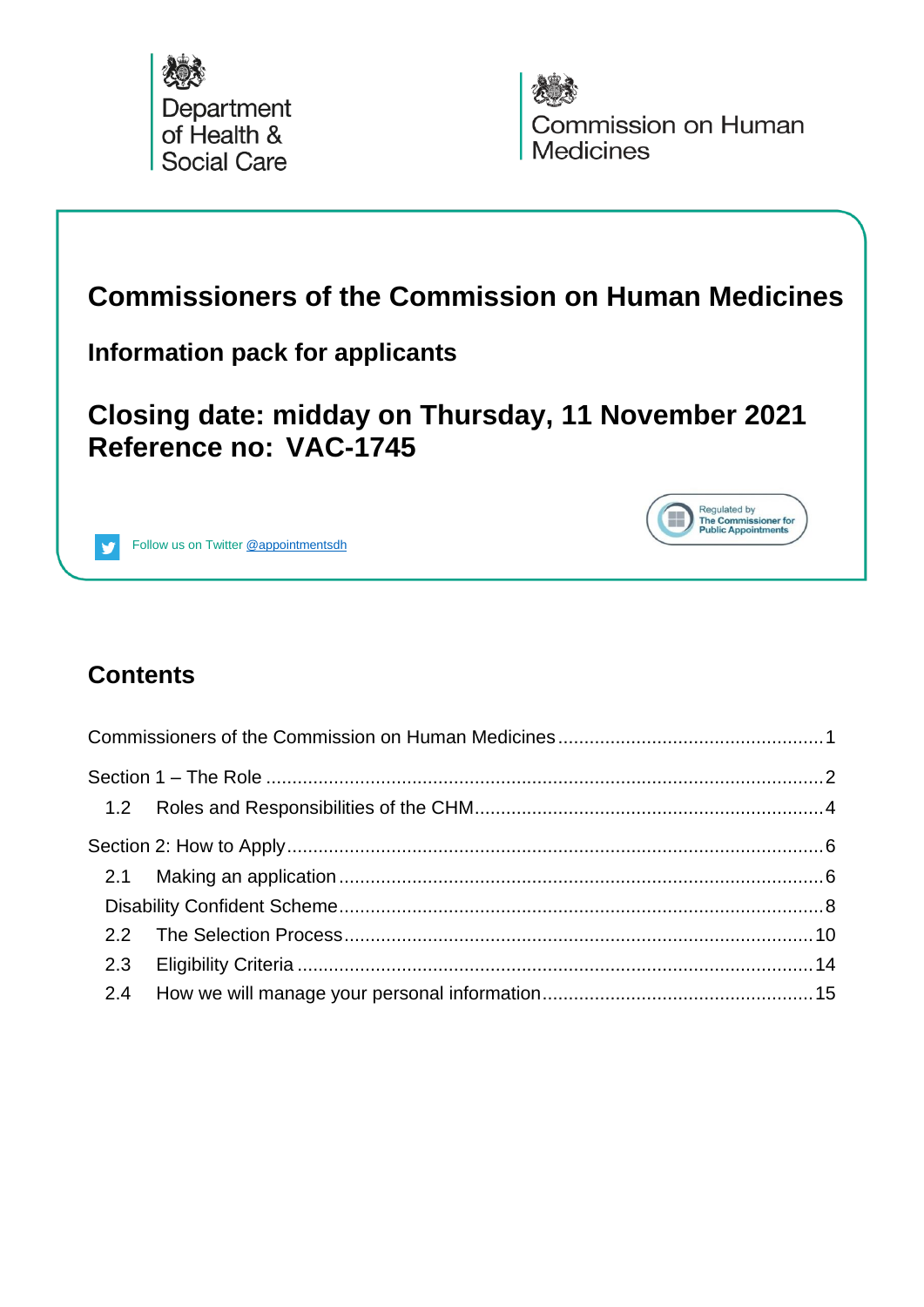



Regulated by<br>The Commissioner for<br>Public Appointments

H

# <span id="page-0-0"></span>**Commissioners of the Commission on Human Medicines**

#### **Information pack for applicants**

# **Closing date: midday on Thursday, 11 November 2021 Reference no: VAC-1745**



Follow us on Twitter [@appointmentsdh](https://twitter.com/search?q=%40appointmentsdh&src=typd)

### **Contents**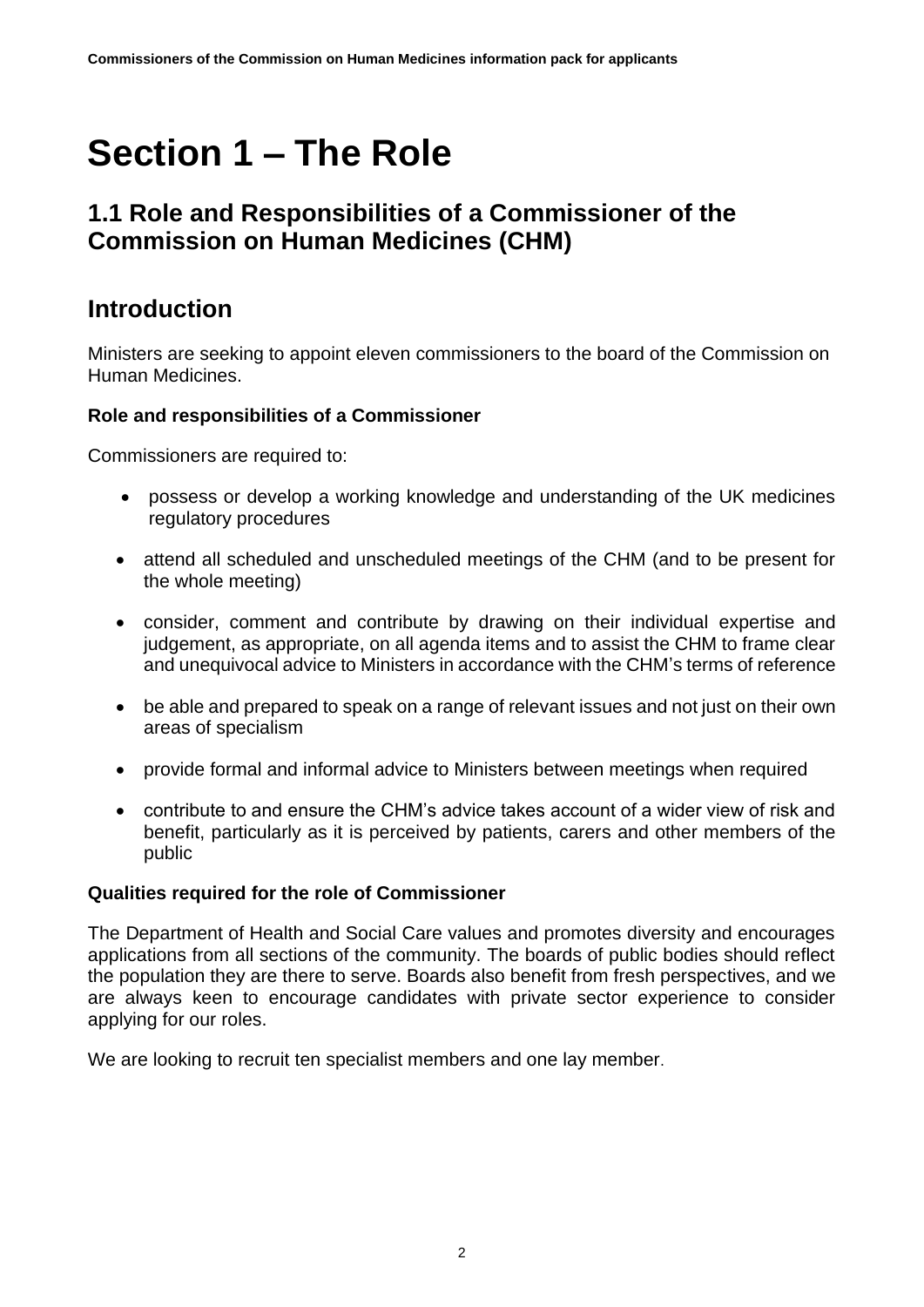# <span id="page-1-0"></span>**Section 1 – The Role**

#### **1.1 Role and Responsibilities of a Commissioner of the Commission on Human Medicines (CHM)**

#### **Introduction**

Ministers are seeking to appoint eleven commissioners to the board of the Commission on Human Medicines.

#### **Role and responsibilities of a Commissioner**

Commissioners are required to:

- possess or develop a working knowledge and understanding of the UK medicines regulatory procedures
- attend all scheduled and unscheduled meetings of the CHM (and to be present for the whole meeting)
- consider, comment and contribute by drawing on their individual expertise and judgement, as appropriate, on all agenda items and to assist the CHM to frame clear and unequivocal advice to Ministers in accordance with the CHM's terms of reference
- be able and prepared to speak on a range of relevant issues and not just on their own areas of specialism
- provide formal and informal advice to Ministers between meetings when required
- contribute to and ensure the CHM's advice takes account of a wider view of risk and benefit, particularly as it is perceived by patients, carers and other members of the public

#### **Qualities required for the role of Commissioner**

The Department of Health and Social Care values and promotes diversity and encourages applications from all sections of the community. The boards of public bodies should reflect the population they are there to serve. Boards also benefit from fresh perspectives, and we are always keen to encourage candidates with private sector experience to consider applying for our roles.

We are looking to recruit ten specialist members and one lay member.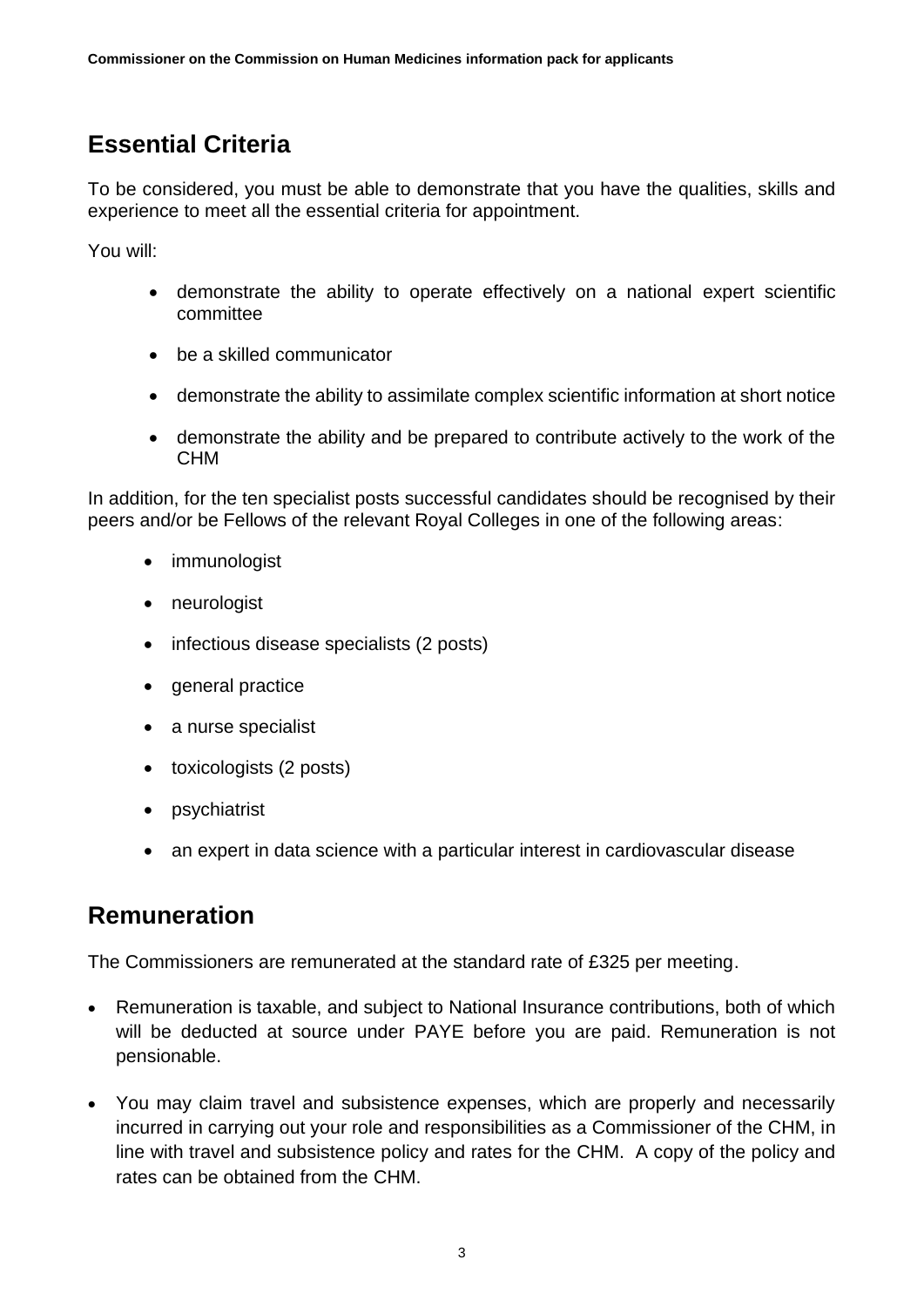## **Essential Criteria**

To be considered, you must be able to demonstrate that you have the qualities, skills and experience to meet all the essential criteria for appointment.

You will:

- demonstrate the ability to operate effectively on a national expert scientific committee
- be a skilled communicator
- demonstrate the ability to assimilate complex scientific information at short notice
- demonstrate the ability and be prepared to contribute actively to the work of the CHM

In addition, for the ten specialist posts successful candidates should be recognised by their peers and/or be Fellows of the relevant Royal Colleges in one of the following areas:

- immunologist
- neurologist
- infectious disease specialists (2 posts)
- general practice
- a nurse specialist
- toxicologists (2 posts)
- **psychiatrist**
- an expert in data science with a particular interest in cardiovascular disease

#### **Remuneration**

The Commissioners are remunerated at the standard rate of £325 per meeting.

- Remuneration is taxable, and subject to National Insurance contributions, both of which will be deducted at source under PAYE before you are paid. Remuneration is not pensionable.
- You may claim travel and subsistence expenses, which are properly and necessarily incurred in carrying out your role and responsibilities as a Commissioner of the CHM, in line with travel and subsistence policy and rates for the CHM. A copy of the policy and rates can be obtained from the CHM.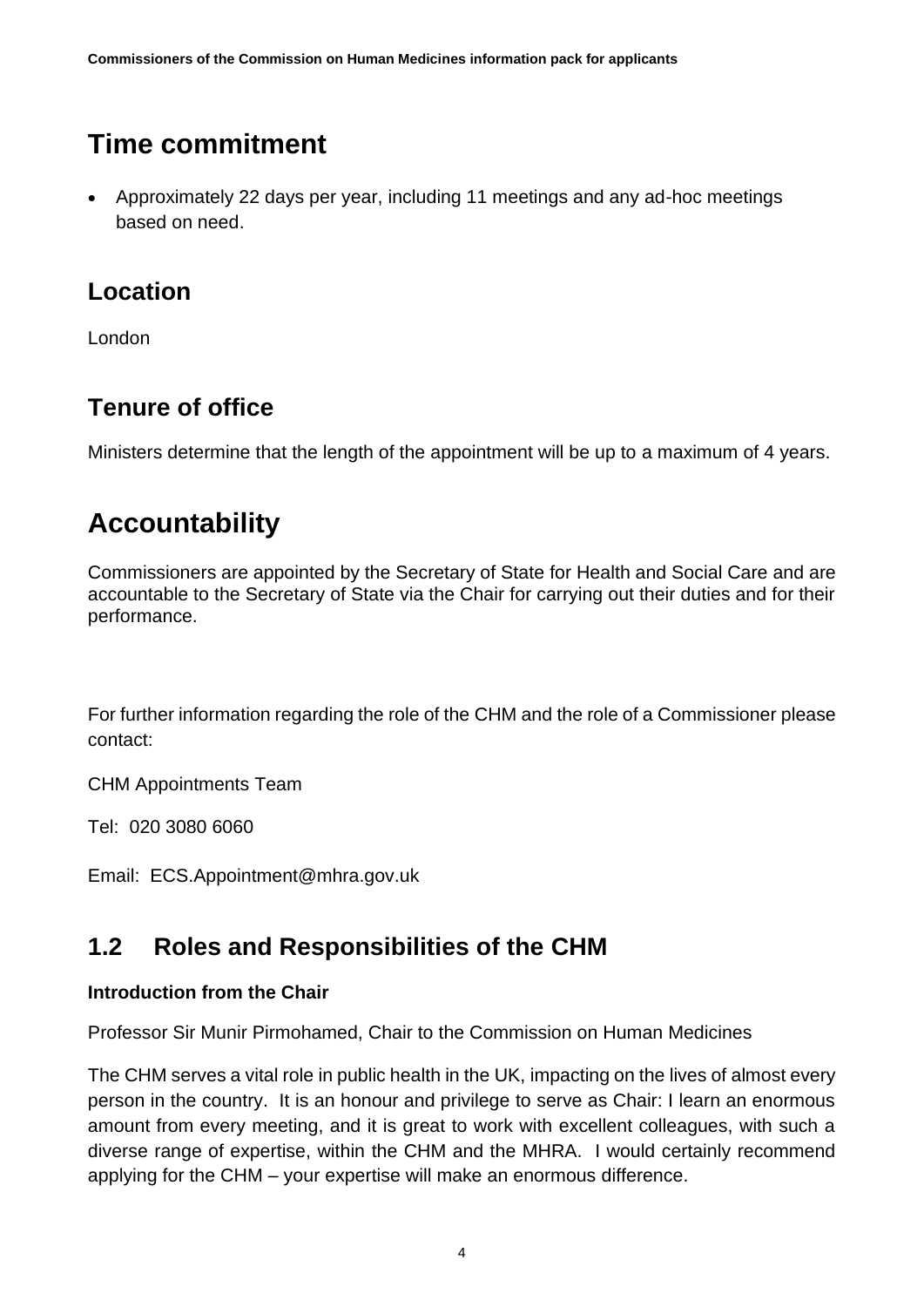# **Time commitment**

• Approximately 22 days per year, including 11 meetings and any ad-hoc meetings based on need.

#### **Location**

London

### **Tenure of office**

Ministers determine that the length of the appointment will be up to a maximum of 4 years.

# **Accountability**

Commissioners are appointed by the Secretary of State for Health and Social Care and are accountable to the Secretary of State via the Chair for carrying out their duties and for their performance.

For further information regarding the role of the CHM and the role of a Commissioner please contact:

CHM Appointments Team

Tel: 020 3080 6060

Email: ECS.Appointment@mhra.gov.uk

### <span id="page-3-0"></span>**1.2 Roles and Responsibilities of the CHM**

#### **Introduction from the Chair**

Professor Sir Munir Pirmohamed, Chair to the Commission on Human Medicines

The CHM serves a vital role in public health in the UK, impacting on the lives of almost every person in the country. It is an honour and privilege to serve as Chair: I learn an enormous amount from every meeting, and it is great to work with excellent colleagues, with such a diverse range of expertise, within the CHM and the MHRA. I would certainly recommend applying for the CHM – your expertise will make an enormous difference.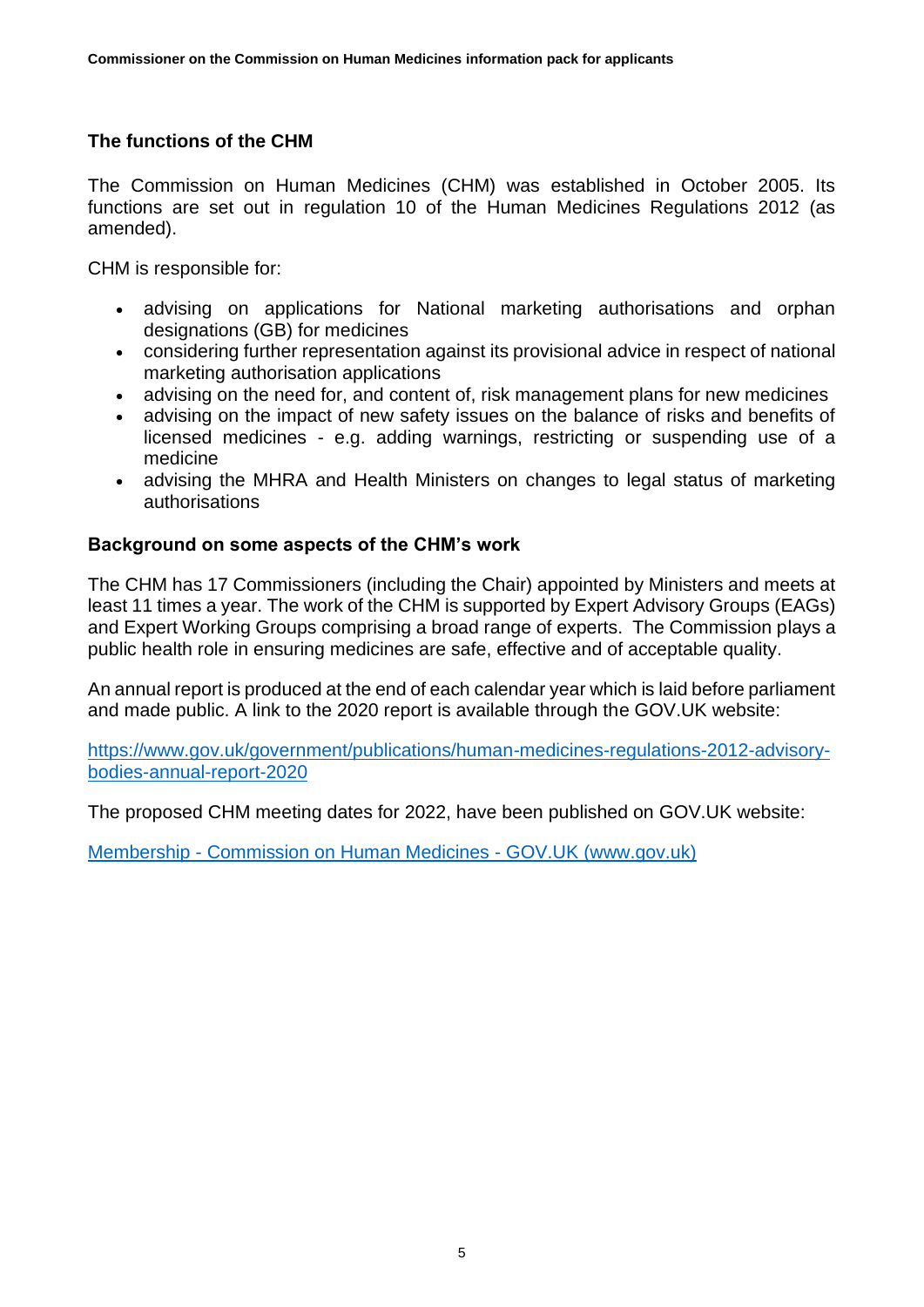#### **The functions of the CHM**

The Commission on Human Medicines (CHM) was established in October 2005. Its functions are set out in regulation 10 of the Human Medicines Regulations 2012 (as amended).

CHM is responsible for:

- advising on applications for National marketing authorisations and orphan designations (GB) for medicines
- considering further representation against its provisional advice in respect of national marketing authorisation applications
- advising on the need for, and content of, risk management plans for new medicines
- advising on the impact of new safety issues on the balance of risks and benefits of licensed medicines - e.g. adding warnings, restricting or suspending use of a medicine
- advising the MHRA and Health Ministers on changes to legal status of marketing authorisations

#### **Background on some aspects of the CHM's work**

The CHM has 17 Commissioners (including the Chair) appointed by Ministers and meets at least 11 times a year. The work of the CHM is supported by Expert Advisory Groups (EAGs) and Expert Working Groups comprising a broad range of experts. The Commission plays a public health role in ensuring medicines are safe, effective and of acceptable quality.

An annual report is produced at the end of each calendar year which is laid before parliament and made public. A link to the 2020 report is available through the GOV.UK website:

[https://www.gov.uk/government/publications/human-medicines-regulations-2012-advisory](https://www.gov.uk/government/publications/human-medicines-regulations-2012-advisory-bodies-annual-report-2020)[bodies-annual-report-2020](https://www.gov.uk/government/publications/human-medicines-regulations-2012-advisory-bodies-annual-report-2020)

The proposed CHM meeting dates for 2022, have been published on GOV.UK website:

Membership - [Commission on Human Medicines -](https://www.gov.uk/government/organisations/commission-on-human-medicines/about/membership#chm-meeting-dates) GOV.UK (www.gov.uk)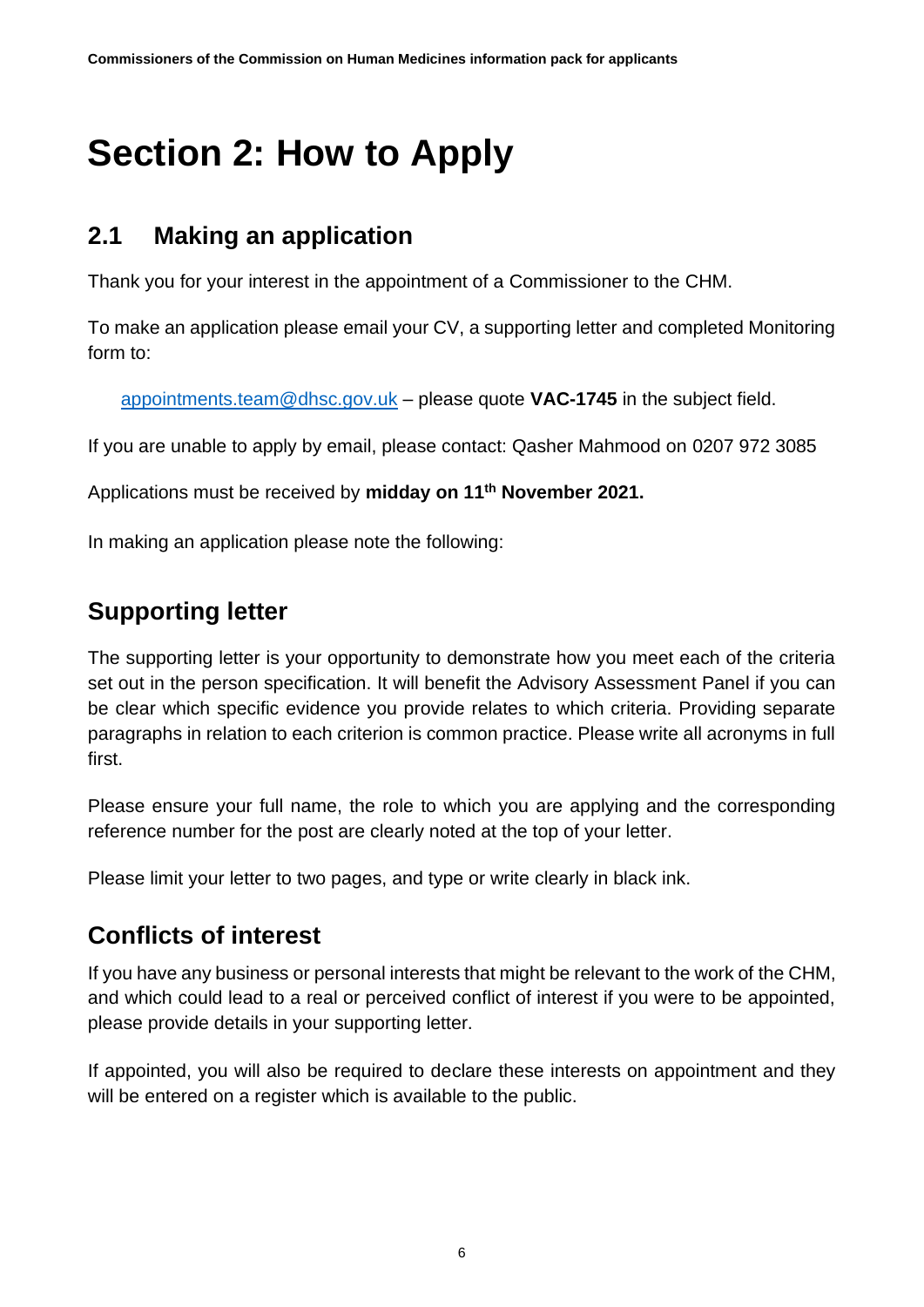# <span id="page-5-0"></span>**Section 2: How to Apply**

### <span id="page-5-1"></span>**2.1 Making an application**

Thank you for your interest in the appointment of a Commissioner to the CHM.

To make an application please email your CV, a supporting letter and completed Monitoring form to:

[appointments.team@dhsc.gov.uk](mailto:appointments.team@dhsc.gov.uk) – please quote **VAC-1745** in the subject field.

If you are unable to apply by email, please contact: Qasher Mahmood on 0207 972 3085

Applications must be received by **midday on 11th November 2021.**

In making an application please note the following:

### **Supporting letter**

The supporting letter is your opportunity to demonstrate how you meet each of the criteria set out in the person specification. It will benefit the Advisory Assessment Panel if you can be clear which specific evidence you provide relates to which criteria. Providing separate paragraphs in relation to each criterion is common practice. Please write all acronyms in full first.

Please ensure your full name, the role to which you are applying and the corresponding reference number for the post are clearly noted at the top of your letter.

Please limit your letter to two pages, and type or write clearly in black ink.

## **Conflicts of interest**

If you have any business or personal interests that might be relevant to the work of the CHM, and which could lead to a real or perceived conflict of interest if you were to be appointed, please provide details in your supporting letter.

If appointed, you will also be required to declare these interests on appointment and they will be entered on a register which is available to the public.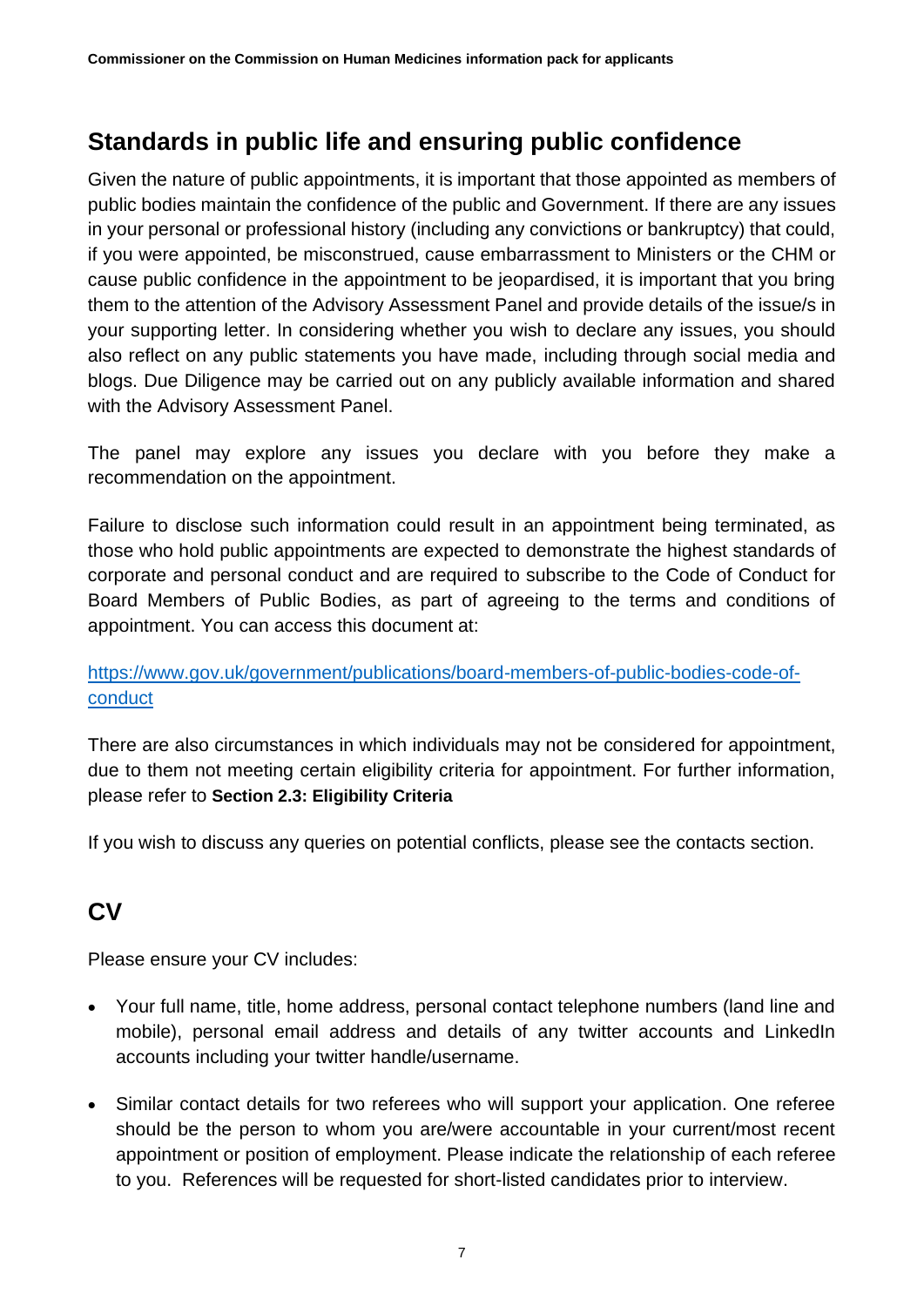## **Standards in public life and ensuring public confidence**

Given the nature of public appointments, it is important that those appointed as members of public bodies maintain the confidence of the public and Government. If there are any issues in your personal or professional history (including any convictions or bankruptcy) that could, if you were appointed, be misconstrued, cause embarrassment to Ministers or the CHM or cause public confidence in the appointment to be jeopardised, it is important that you bring them to the attention of the Advisory Assessment Panel and provide details of the issue/s in your supporting letter. In considering whether you wish to declare any issues, you should also reflect on any public statements you have made, including through social media and blogs. Due Diligence may be carried out on any publicly available information and shared with the Advisory Assessment Panel.

The panel may explore any issues you declare with you before they make a recommendation on the appointment.

Failure to disclose such information could result in an appointment being terminated, as those who hold public appointments are expected to demonstrate the highest standards of corporate and personal conduct and are required to subscribe to the Code of Conduct for Board Members of Public Bodies, as part of agreeing to the terms and conditions of appointment. You can access this document at:

#### [https://www.gov.uk/government/publications/board-members-of-public-bodies-code-of](https://www.gov.uk/government/publications/board-members-of-public-bodies-code-of-conduct)[conduct](https://www.gov.uk/government/publications/board-members-of-public-bodies-code-of-conduct)

There are also circumstances in which individuals may not be considered for appointment, due to them not meeting certain eligibility criteria for appointment. For further information, please refer to **Section 2.3: Eligibility Criteria**

If you wish to discuss any queries on potential conflicts, please see the contacts section.

### **CV**

Please ensure your CV includes:

- Your full name, title, home address, personal contact telephone numbers (land line and mobile), personal email address and details of any twitter accounts and LinkedIn accounts including your twitter handle/username.
- Similar contact details for two referees who will support your application. One referee should be the person to whom you are/were accountable in your current/most recent appointment or position of employment. Please indicate the relationship of each referee to you. References will be requested for short-listed candidates prior to interview.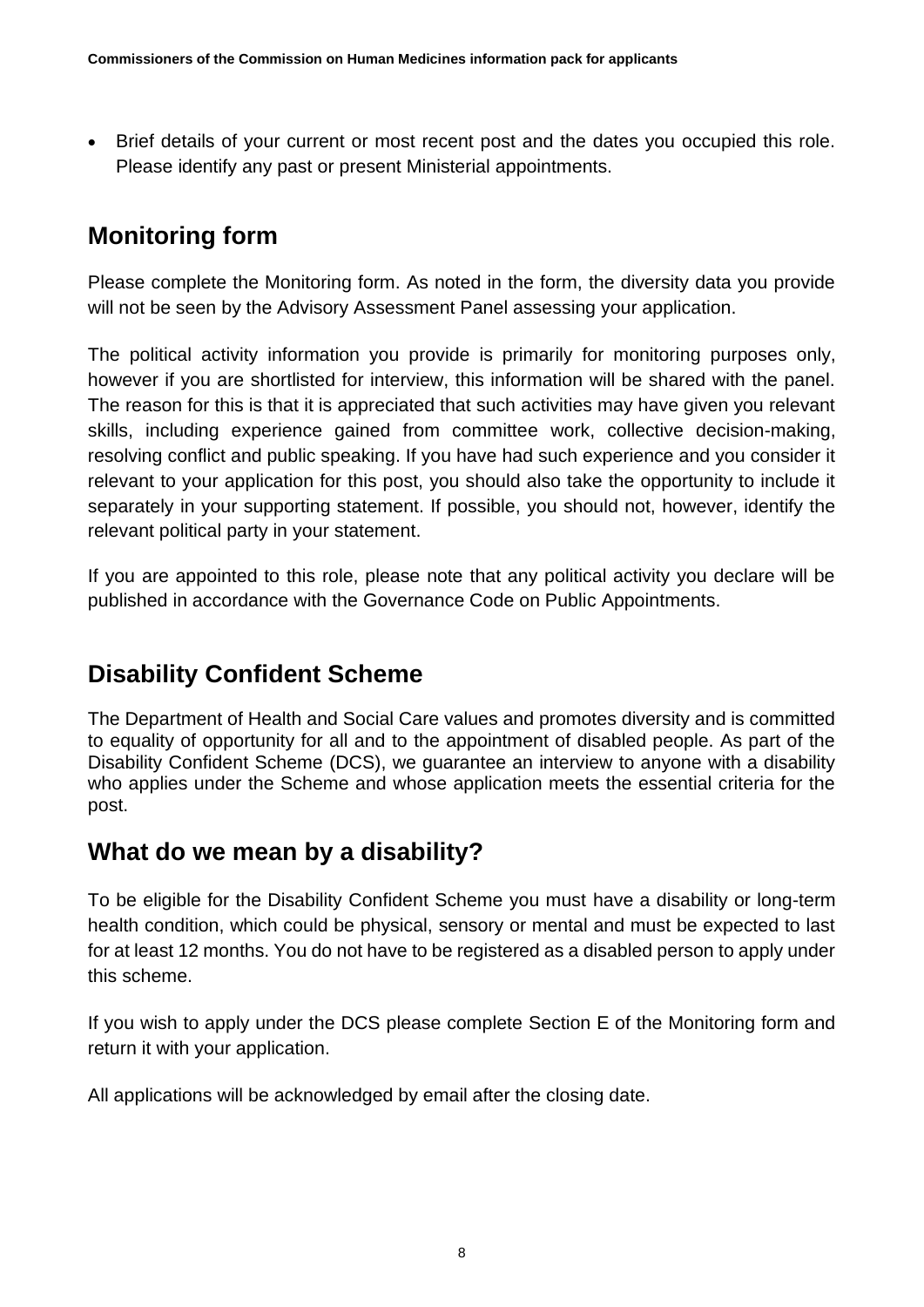• Brief details of your current or most recent post and the dates you occupied this role. Please identify any past or present Ministerial appointments.

## **Monitoring form**

Please complete the Monitoring form. As noted in the form, the diversity data you provide will not be seen by the Advisory Assessment Panel assessing your application.

The political activity information you provide is primarily for monitoring purposes only, however if you are shortlisted for interview, this information will be shared with the panel. The reason for this is that it is appreciated that such activities may have given you relevant skills, including experience gained from committee work, collective decision-making, resolving conflict and public speaking. If you have had such experience and you consider it relevant to your application for this post, you should also take the opportunity to include it separately in your supporting statement. If possible, you should not, however, identify the relevant political party in your statement.

If you are appointed to this role, please note that any political activity you declare will be published in accordance with the Governance Code on Public Appointments.

### <span id="page-7-0"></span>**Disability Confident Scheme**

The Department of Health and Social Care values and promotes diversity and is committed to equality of opportunity for all and to the appointment of disabled people. As part of the Disability Confident Scheme (DCS), we guarantee an interview to anyone with a disability who applies under the Scheme and whose application meets the essential criteria for the post.

#### **What do we mean by a disability?**

To be eligible for the Disability Confident Scheme you must have a disability or long-term health condition, which could be physical, sensory or mental and must be expected to last for at least 12 months. You do not have to be registered as a disabled person to apply under this scheme.

If you wish to apply under the DCS please complete Section E of the Monitoring form and return it with your application.

All applications will be acknowledged by email after the closing date.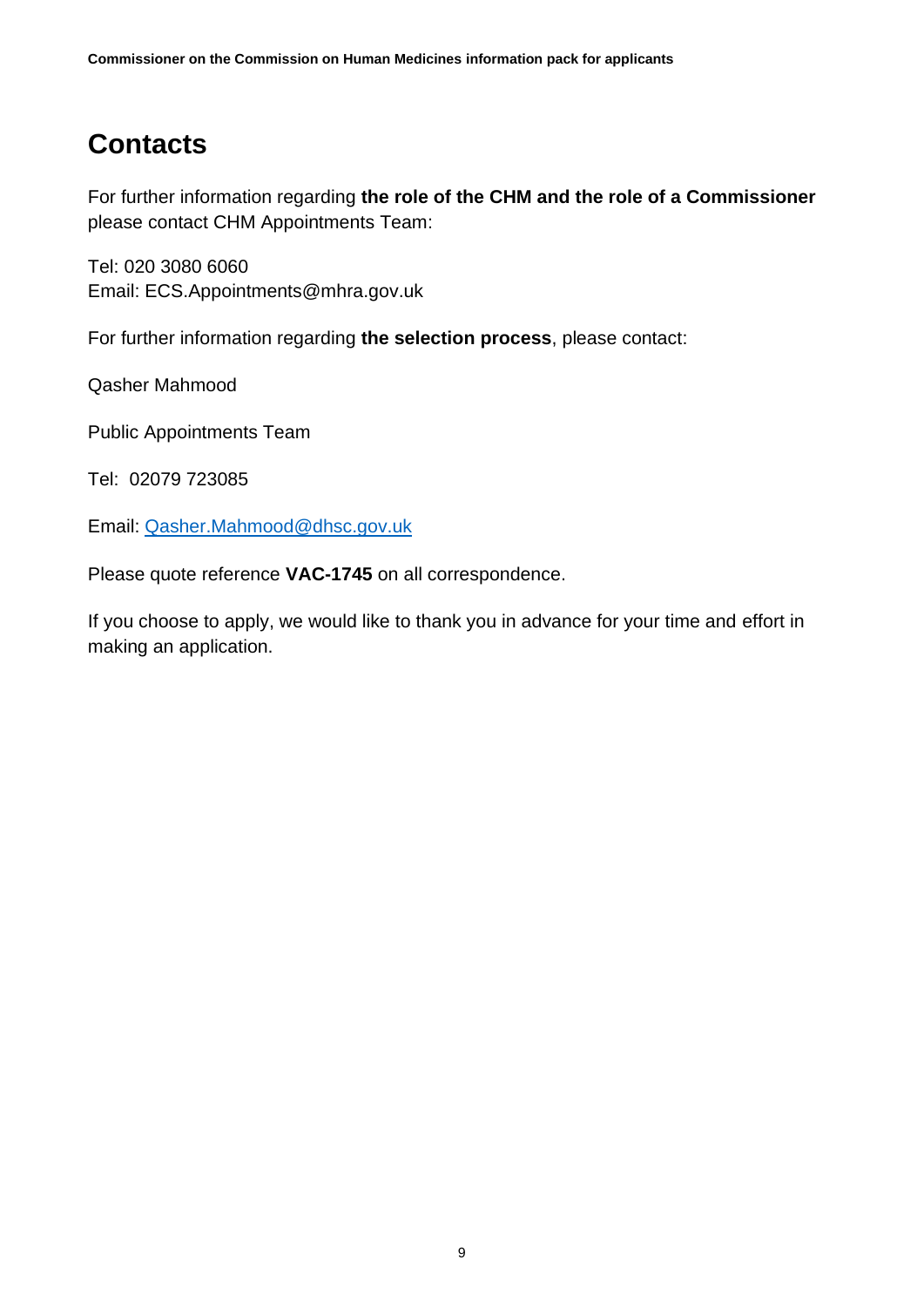# **Contacts**

For further information regarding **the role of the CHM and the role of a Commissioner** please contact CHM Appointments Team:

Tel: 020 3080 6060 Email: [ECS.Appointments@mhra.gov.uk](mailto:ECS.Appointments@mhra.gov.uk)

For further information regarding **the selection process**, please contact:

Qasher Mahmood

Public Appointments Team

Tel: 02079 723085

Email: [Qasher.Mahmood@dhsc.gov.uk](mailto:Qasher.Mahmood@dhsc.gov.uk)

Please quote reference **VAC-1745** on all correspondence.

If you choose to apply, we would like to thank you in advance for your time and effort in making an application.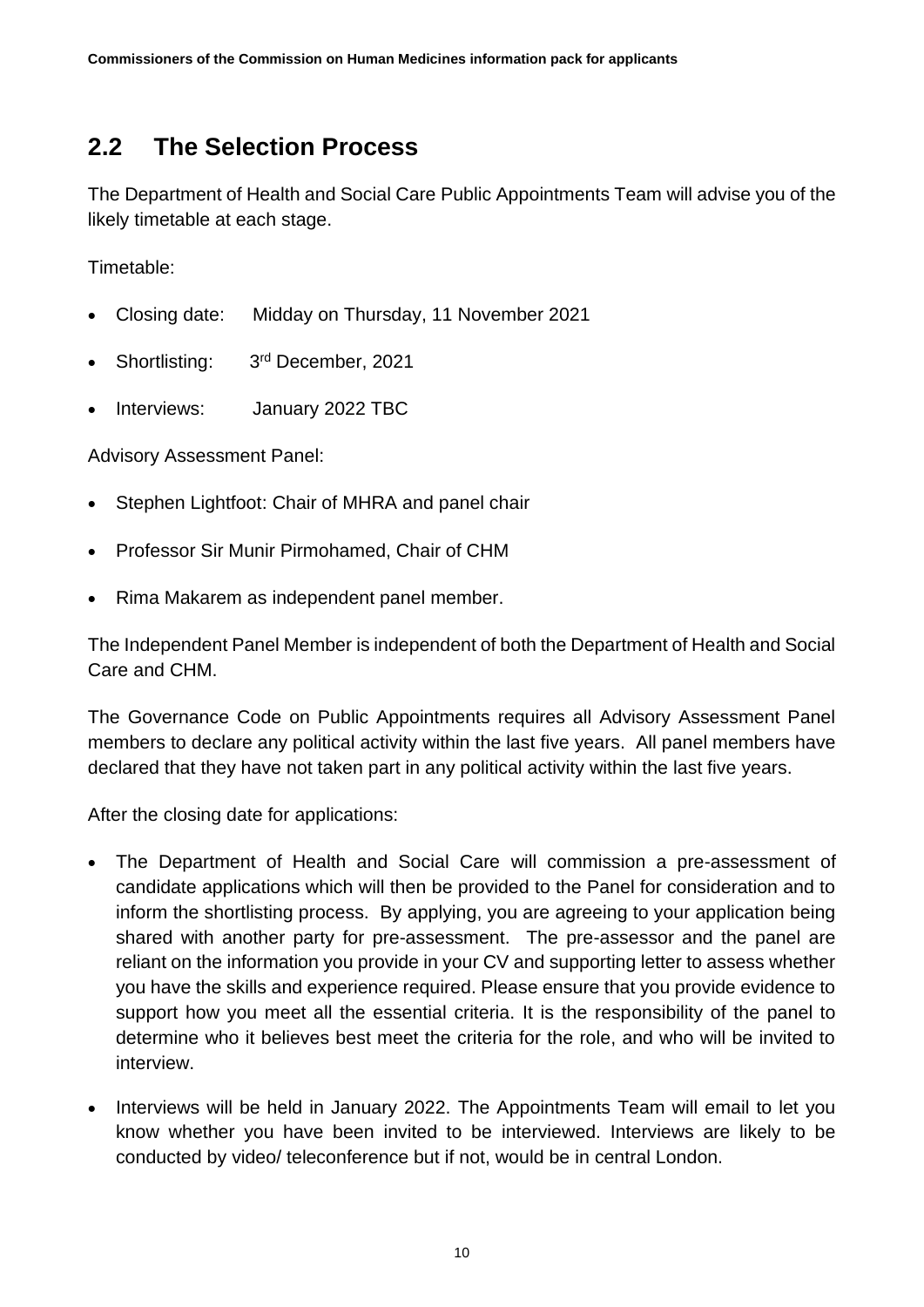#### <span id="page-9-0"></span>**2.2 The Selection Process**

The Department of Health and Social Care Public Appointments Team will advise you of the likely timetable at each stage.

Timetable:

- Closing date: Midday on Thursday, 11 November 2021
- Shortlisting: 3rd December, 2021
- Interviews: January 2022 TBC

Advisory Assessment Panel:

- Stephen Lightfoot: Chair of MHRA and panel chair
- Professor Sir Munir Pirmohamed, Chair of CHM
- Rima Makarem as independent panel member.

The Independent Panel Member is independent of both the Department of Health and Social Care and CHM.

The Governance Code on Public Appointments requires all Advisory Assessment Panel members to declare any political activity within the last five years. All panel members have declared that they have not taken part in any political activity within the last five years.

After the closing date for applications:

- The Department of Health and Social Care will commission a pre-assessment of candidate applications which will then be provided to the Panel for consideration and to inform the shortlisting process. By applying, you are agreeing to your application being shared with another party for pre-assessment. The pre-assessor and the panel are reliant on the information you provide in your CV and supporting letter to assess whether you have the skills and experience required. Please ensure that you provide evidence to support how you meet all the essential criteria. It is the responsibility of the panel to determine who it believes best meet the criteria for the role, and who will be invited to interview.
- Interviews will be held in January 2022. The Appointments Team will email to let you know whether you have been invited to be interviewed. Interviews are likely to be conducted by video/ teleconference but if not, would be in central London.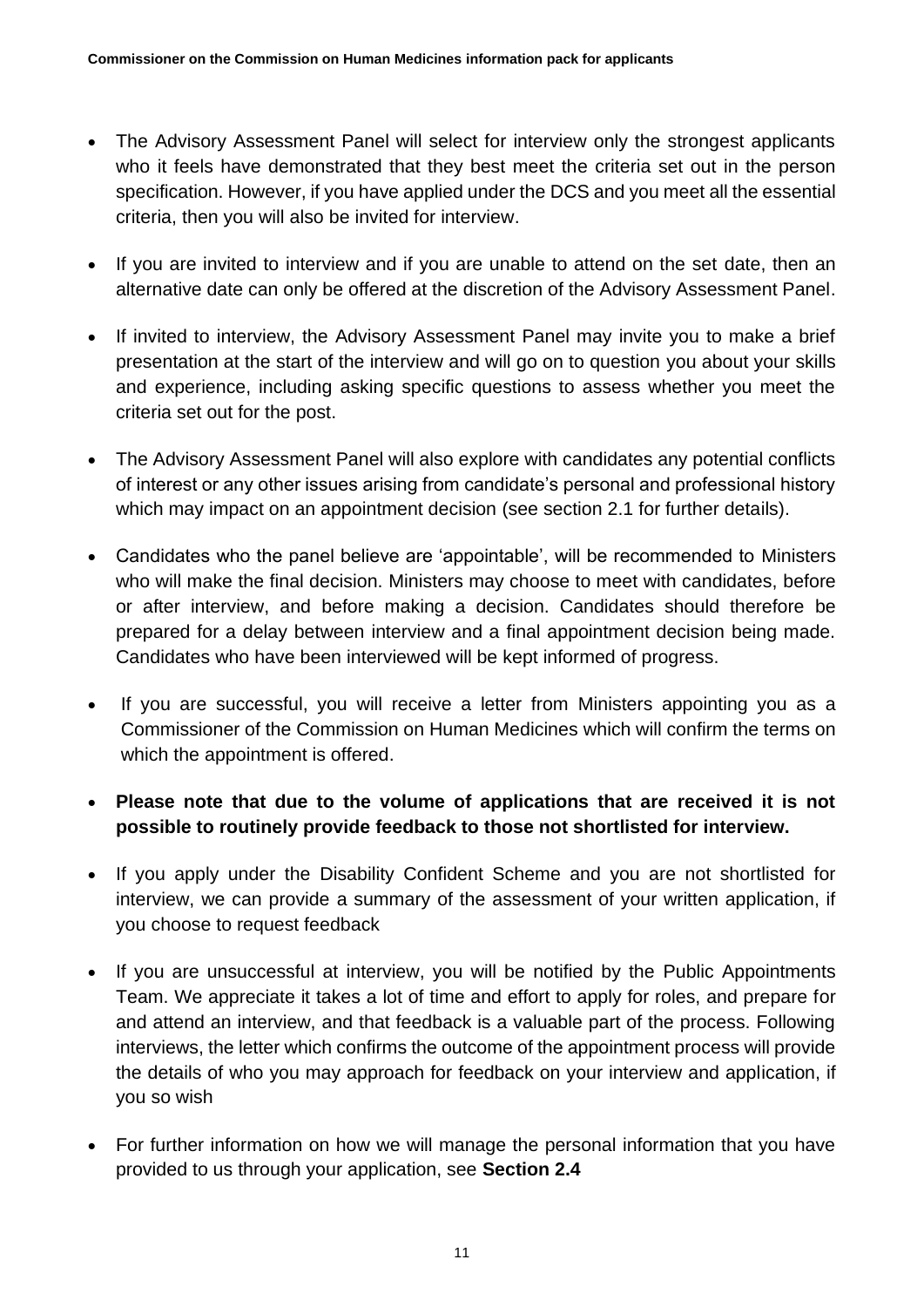- The Advisory Assessment Panel will select for interview only the strongest applicants who it feels have demonstrated that they best meet the criteria set out in the person specification. However, if you have applied under the DCS and you meet all the essential criteria, then you will also be invited for interview.
- If you are invited to interview and if you are unable to attend on the set date, then an alternative date can only be offered at the discretion of the Advisory Assessment Panel.
- If invited to interview, the Advisory Assessment Panel may invite you to make a brief presentation at the start of the interview and will go on to question you about your skills and experience, including asking specific questions to assess whether you meet the criteria set out for the post.
- The Advisory Assessment Panel will also explore with candidates any potential conflicts of interest or any other issues arising from candidate's personal and professional history which may impact on an appointment decision (see section 2.1 for further details).
- Candidates who the panel believe are 'appointable', will be recommended to Ministers who will make the final decision. Ministers may choose to meet with candidates, before or after interview, and before making a decision. Candidates should therefore be prepared for a delay between interview and a final appointment decision being made. Candidates who have been interviewed will be kept informed of progress.
- If you are successful, you will receive a letter from Ministers appointing you as a Commissioner of the Commission on Human Medicines which will confirm the terms on which the appointment is offered.
- **Please note that due to the volume of applications that are received it is not possible to routinely provide feedback to those not shortlisted for interview.**
- If you apply under the Disability Confident Scheme and you are not shortlisted for interview, we can provide a summary of the assessment of your written application, if you choose to request feedback
- If you are unsuccessful at interview, you will be notified by the Public Appointments Team. We appreciate it takes a lot of time and effort to apply for roles, and prepare for and attend an interview, and that feedback is a valuable part of the process. Following interviews, the letter which confirms the outcome of the appointment process will provide the details of who you may approach for feedback on your interview and application, if you so wish
- For further information on how we will manage the personal information that you have provided to us through your application, see **Section 2.4**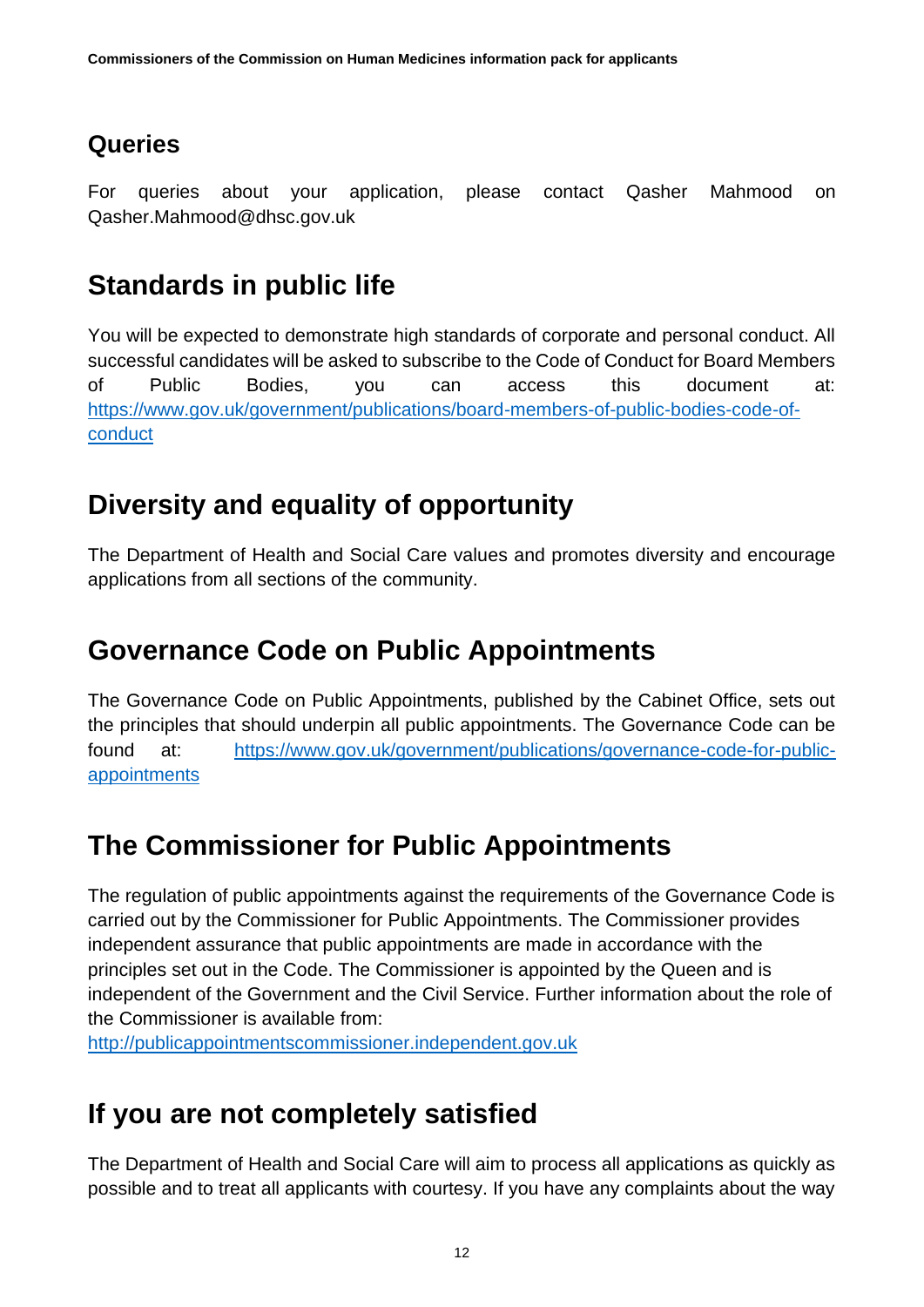## **Queries**

For queries about your application, please contact Qasher Mahmood on Qasher.Mahmood@dhsc.gov.uk

# **Standards in public life**

You will be expected to demonstrate high standards of corporate and personal conduct. All successful candidates will be asked to subscribe to the Code of Conduct for Board Members of Public Bodies, you can access this document at: [https://www.gov.uk/government/publications/board-members-of-public-bodies-code-of](https://www.gov.uk/government/publications/board-members-of-public-bodies-code-of-conduct)[conduct](https://www.gov.uk/government/publications/board-members-of-public-bodies-code-of-conduct)

# **Diversity and equality of opportunity**

The Department of Health and Social Care values and promotes diversity and encourage applications from all sections of the community.

# **Governance Code on Public Appointments**

The Governance Code on Public Appointments, published by the Cabinet Office, sets out the principles that should underpin all public appointments. The Governance Code can be found at: [https://www.gov.uk/government/publications/governance-code-for-public](https://www.gov.uk/government/publications/governance-code-for-public-appointments)[appointments](https://www.gov.uk/government/publications/governance-code-for-public-appointments)

# **The Commissioner for Public Appointments**

The regulation of public appointments against the requirements of the Governance Code is carried out by the Commissioner for Public Appointments. The Commissioner provides independent assurance that public appointments are made in accordance with the principles set out in the Code. The Commissioner is appointed by the Queen and is independent of the Government and the Civil Service. Further information about the role of the Commissioner is available from:

[http://publicappointmentscommissioner.independent.gov.uk](http://publicappointmentscommissioner.independent.gov.uk/) 

# **If you are not completely satisfied**

The Department of Health and Social Care will aim to process all applications as quickly as possible and to treat all applicants with courtesy. If you have any complaints about the way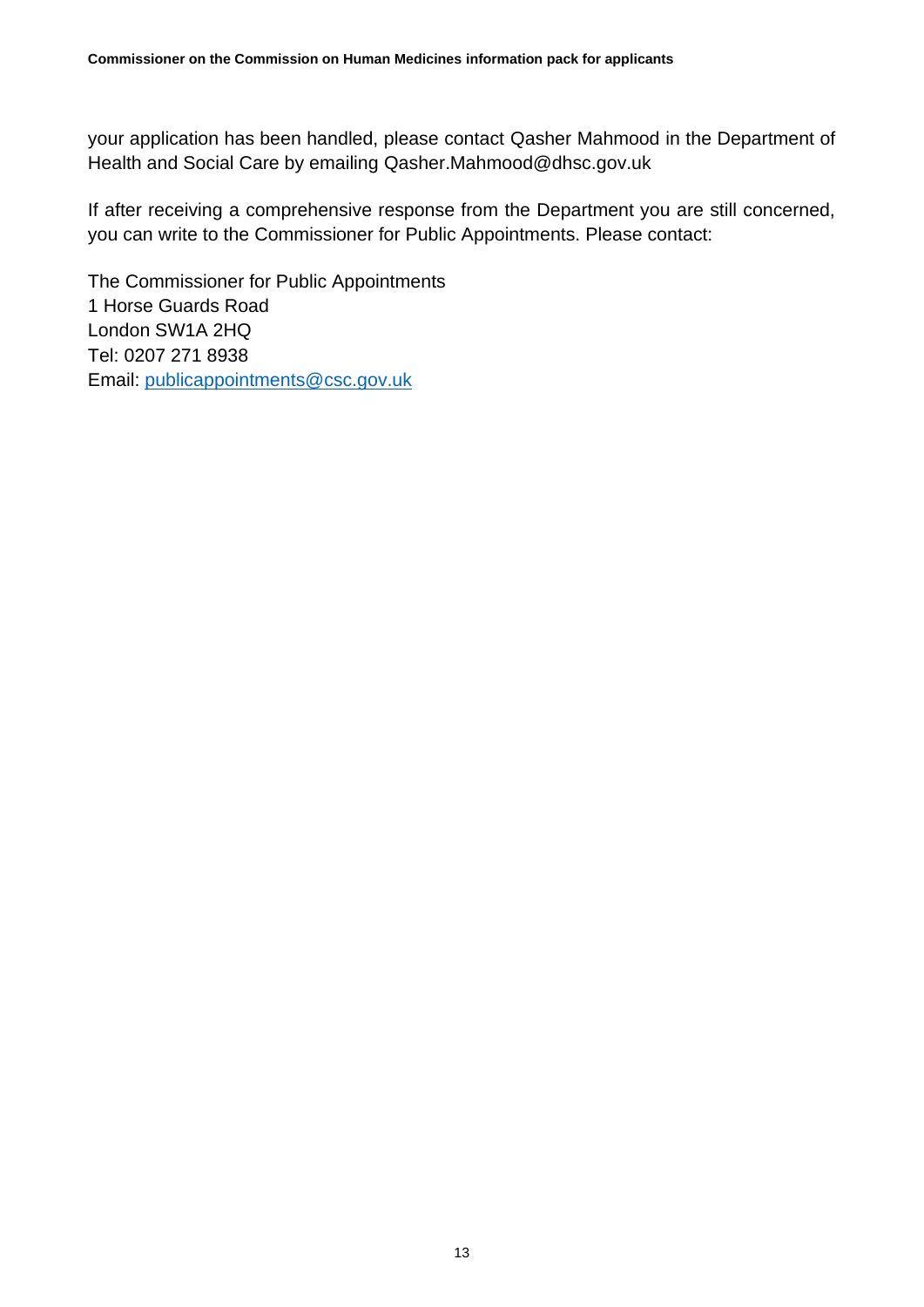your application has been handled, please contact Qasher Mahmood in the Department of Health and Social Care by emailing Qasher.Mahmood@dhsc.gov.uk

If after receiving a comprehensive response from the Department you are still concerned, you can write to the Commissioner for Public Appointments. Please contact:

The Commissioner for Public Appointments 1 Horse Guards Road London SW1A 2HQ Tel: 0207 271 8938 Email: [publicappointments@csc.gov.uk](mailto:publicappointments@csc.gsi.gov.uk)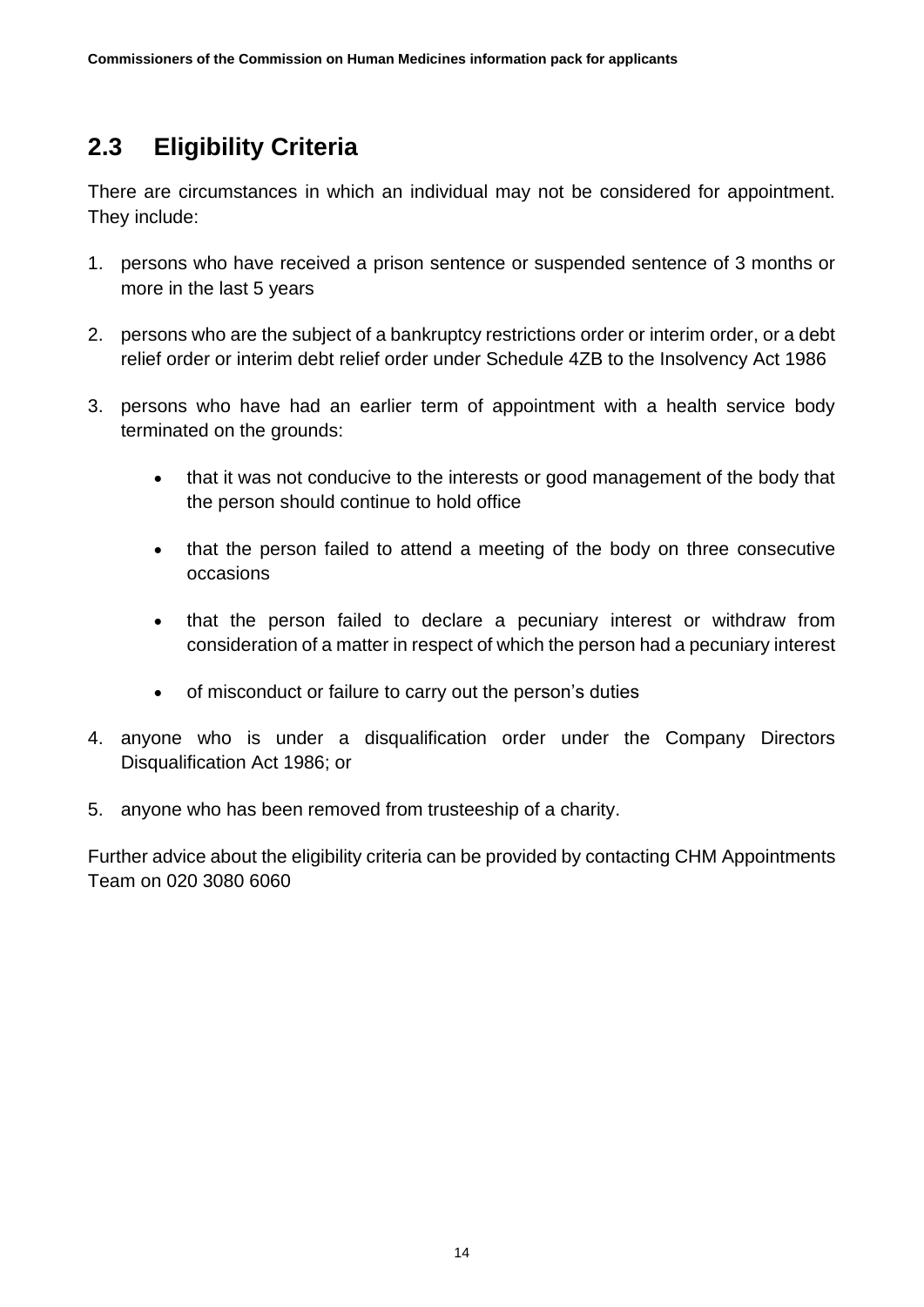## <span id="page-13-0"></span>**2.3 Eligibility Criteria**

There are circumstances in which an individual may not be considered for appointment. They include:

- 1. persons who have received a prison sentence or suspended sentence of 3 months or more in the last 5 years
- 2. persons who are the subject of a bankruptcy restrictions order or interim order, or a debt relief order or interim debt relief order under Schedule 4ZB to the Insolvency Act 1986
- 3. persons who have had an earlier term of appointment with a health service body terminated on the grounds:
	- that it was not conducive to the interests or good management of the body that the person should continue to hold office
	- that the person failed to attend a meeting of the body on three consecutive occasions
	- that the person failed to declare a pecuniary interest or withdraw from consideration of a matter in respect of which the person had a pecuniary interest
	- of misconduct or failure to carry out the person's duties
- 4. anyone who is under a disqualification order under the Company Directors Disqualification Act 1986; or
- 5. anyone who has been removed from trusteeship of a charity.

Further advice about the eligibility criteria can be provided by contacting CHM Appointments Team on 020 3080 6060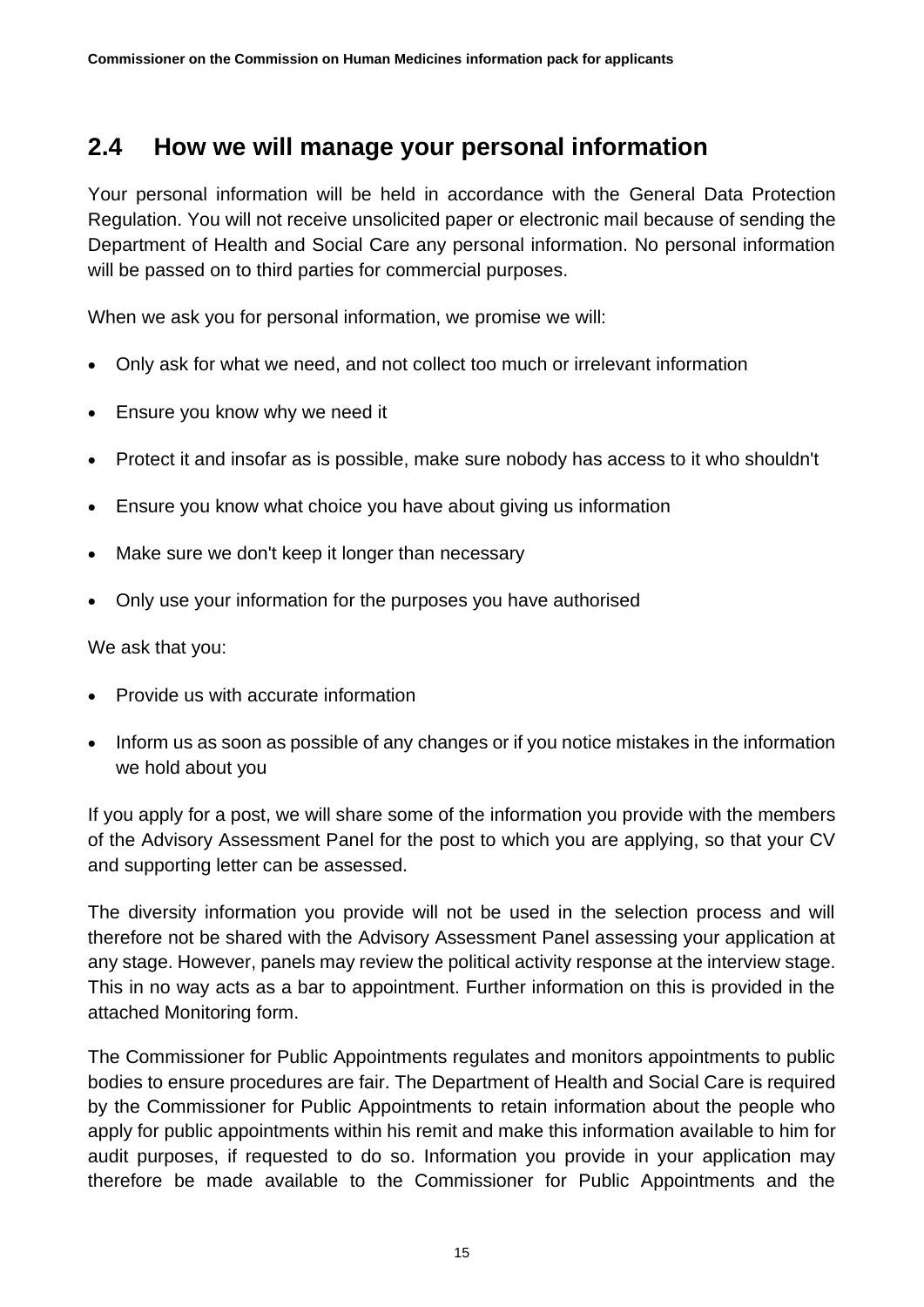#### <span id="page-14-0"></span>**2.4 How we will manage your personal information**

Your personal information will be held in accordance with the General Data Protection Regulation. You will not receive unsolicited paper or electronic mail because of sending the Department of Health and Social Care any personal information. No personal information will be passed on to third parties for commercial purposes.

When we ask you for personal information, we promise we will:

- Only ask for what we need, and not collect too much or irrelevant information
- Ensure you know why we need it
- Protect it and insofar as is possible, make sure nobody has access to it who shouldn't
- Ensure you know what choice you have about giving us information
- Make sure we don't keep it longer than necessary
- Only use your information for the purposes you have authorised

We ask that you:

- Provide us with accurate information
- Inform us as soon as possible of any changes or if you notice mistakes in the information we hold about you

If you apply for a post, we will share some of the information you provide with the members of the Advisory Assessment Panel for the post to which you are applying, so that your CV and supporting letter can be assessed.

The diversity information you provide will not be used in the selection process and will therefore not be shared with the Advisory Assessment Panel assessing your application at any stage. However, panels may review the political activity response at the interview stage. This in no way acts as a bar to appointment. Further information on this is provided in the attached Monitoring form.

The Commissioner for Public Appointments regulates and monitors appointments to public bodies to ensure procedures are fair. The Department of Health and Social Care is required by the Commissioner for Public Appointments to retain information about the people who apply for public appointments within his remit and make this information available to him for audit purposes, if requested to do so. Information you provide in your application may therefore be made available to the Commissioner for Public Appointments and the